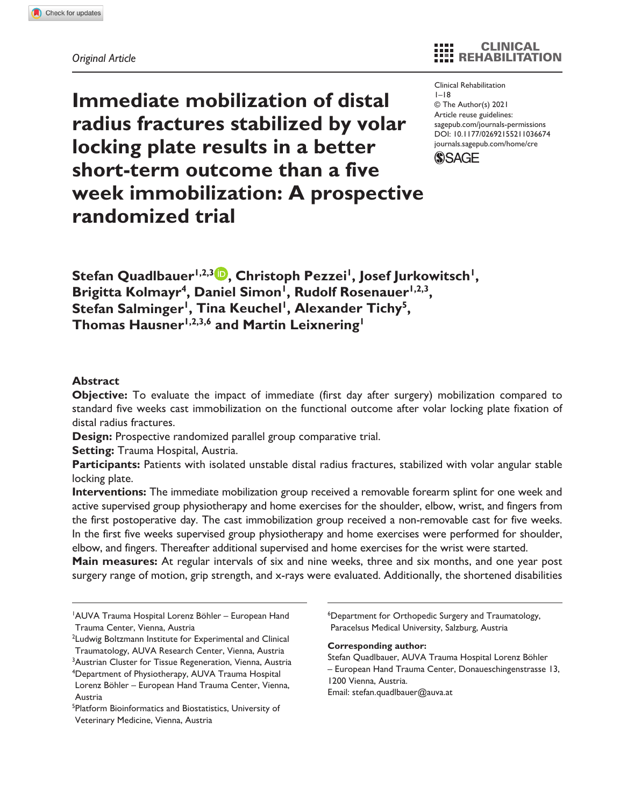# **Immediate mobilization of distal radius fractures stabilized by volar locking plate results in a better short-term outcome than a five week immobilization: A prospective randomized trial**

CLINICAL REHABILITATION

https://doi.org/10.1177/02692155211036674 DOI: 10.1177/02692155211036674 Clinical Rehabilitation  $I-I8$ © The Author(s) 2021 Article reuse guidelines: [sagepub.com/journals-permissions](https://uk.sagepub.com/en-gb/journals-permissions) [journals.sagepub.com/home/cre](https://journals.sagepub.com/home/cre)



Stefan Quadlbauer<sup>1,2,3</sup><sup>0</sup>, Christoph Pezzei<sup>1</sup>, Josef Jurkowitsch<sup>1</sup>, Brigitta Kolmayr<sup>4</sup>, Daniel Simon<sup>1</sup>, Rudolf Rosenauer<sup>1,2,3</sup>, Stefan Salminger<sup>1</sup>, Tina Keuchel<sup>1</sup>, Alexander Tichy<sup>5</sup>, Thomas Hausner<sup>1,2,3,6</sup> and Martin Leixnering<sup>1</sup>

## **Abstract**

**Objective:** To evaluate the impact of immediate (first day after surgery) mobilization compared to standard five weeks cast immobilization on the functional outcome after volar locking plate fixation of distal radius fractures.

**Design:** Prospective randomized parallel group comparative trial.

**Setting:** Trauma Hospital, Austria.

**Participants:** Patients with isolated unstable distal radius fractures, stabilized with volar angular stable locking plate.

**Interventions:** The immediate mobilization group received a removable forearm splint for one week and active supervised group physiotherapy and home exercises for the shoulder, elbow, wrist, and fingers from the first postoperative day. The cast immobilization group received a non-removable cast for five weeks. In the first five weeks supervised group physiotherapy and home exercises were performed for shoulder, elbow, and fingers. Thereafter additional supervised and home exercises for the wrist were started.

**Main measures:** At regular intervals of six and nine weeks, three and six months, and one year post surgery range of motion, grip strength, and x-rays were evaluated. Additionally, the shortened disabilities

6 Department for Orthopedic Surgery and Traumatology, Paracelsus Medical University, Salzburg, Austria

#### **Corresponding author:**

Stefan Quadlbauer, AUVA Trauma Hospital Lorenz Böhler – European Hand Trauma Center, Donaueschingenstrasse 13, 1200 Vienna, Austria. Email: [stefan.quadlbauer@auva.at](mailto:stefan.quadlbauer@auva.at)

<sup>1</sup> AUVA Trauma Hospital Lorenz Böhler – European Hand Trauma Center, Vienna, Austria

<sup>&</sup>lt;sup>2</sup> Ludwig Boltzmann Institute for Experimental and Clinical Traumatology, AUVA Research Center, Vienna, Austria

<sup>&</sup>lt;sup>3</sup>Austrian Cluster for Tissue Regeneration, Vienna, Austria 4 Department of Physiotherapy, AUVA Trauma Hospital Lorenz Böhler – European Hand Trauma Center, Vienna, Austria

<sup>5</sup> Platform Bioinformatics and Biostatistics, University of Veterinary Medicine, Vienna, Austria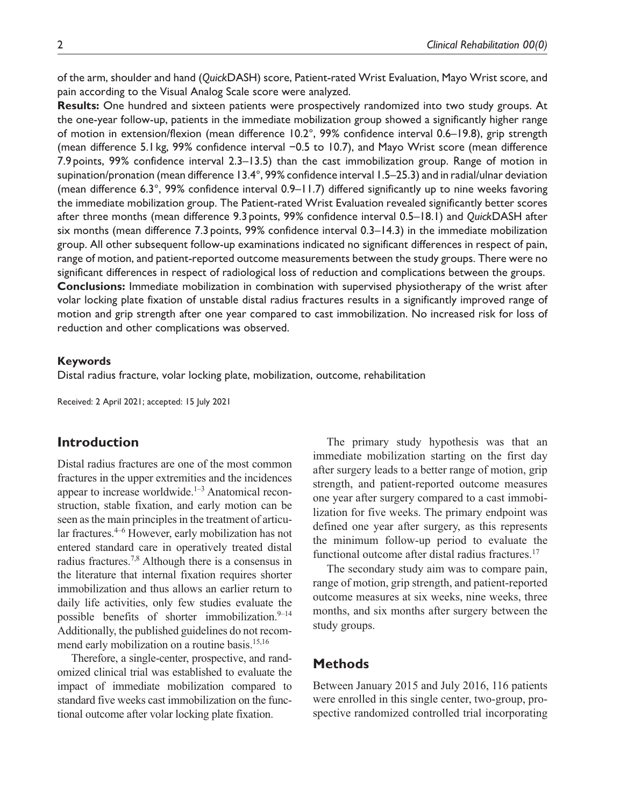of the arm, shoulder and hand (*Quick*DASH) score, Patient-rated Wrist Evaluation, Mayo Wrist score, and pain according to the Visual Analog Scale score were analyzed.

**Results:** One hundred and sixteen patients were prospectively randomized into two study groups. At the one-year follow-up, patients in the immediate mobilization group showed a significantly higher range of motion in extension/flexion (mean difference 10.2°, 99% confidence interval 0.6–19.8), grip strength (mean difference 5.1 kg, 99% confidence interval −0.5 to 10.7), and Mayo Wrist score (mean difference 7.9 points, 99% confidence interval 2.3–13.5) than the cast immobilization group. Range of motion in supination/pronation (mean difference 13.4°, 99% confidence interval 1.5–25.3) and in radial/ulnar deviation (mean difference 6.3°, 99% confidence interval  $0.9-11.7$ ) differed significantly up to nine weeks favoring the immediate mobilization group. The Patient-rated Wrist Evaluation revealed significantly better scores after three months (mean difference 9.3points, 99% confidence interval 0.5–18.1) and *Quick*DASH after six months (mean difference 7.3 points, 99% confidence interval 0.3–14.3) in the immediate mobilization group. All other subsequent follow-up examinations indicated no significant differences in respect of pain, range of motion, and patient-reported outcome measurements between the study groups. There were no significant differences in respect of radiological loss of reduction and complications between the groups. **Conclusions:** Immediate mobilization in combination with supervised physiotherapy of the wrist after volar locking plate fixation of unstable distal radius fractures results in a significantly improved range of motion and grip strength after one year compared to cast immobilization. No increased risk for loss of reduction and other complications was observed.

#### **Keywords**

Distal radius fracture, volar locking plate, mobilization, outcome, rehabilitation

Received: 2 April 2021; accepted: 15 July 2021

# **Introduction**

Distal radius fractures are one of the most common fractures in the upper extremities and the incidences appear to increase worldwide.<sup>1-3</sup> Anatomical reconstruction, stable fixation, and early motion can be seen as the main principles in the treatment of articular fractures.4–6 However, early mobilization has not entered standard care in operatively treated distal radius fractures.7,8 Although there is a consensus in the literature that internal fixation requires shorter immobilization and thus allows an earlier return to daily life activities, only few studies evaluate the possible benefits of shorter immobilization.<sup>9-14</sup> Additionally, the published guidelines do not recommend early mobilization on a routine basis.<sup>15,16</sup>

Therefore, a single-center, prospective, and randomized clinical trial was established to evaluate the impact of immediate mobilization compared to standard five weeks cast immobilization on the functional outcome after volar locking plate fixation.

The primary study hypothesis was that an immediate mobilization starting on the first day after surgery leads to a better range of motion, grip strength, and patient-reported outcome measures one year after surgery compared to a cast immobilization for five weeks. The primary endpoint was defined one year after surgery, as this represents the minimum follow-up period to evaluate the functional outcome after distal radius fractures.<sup>17</sup>

The secondary study aim was to compare pain, range of motion, grip strength, and patient-reported outcome measures at six weeks, nine weeks, three months, and six months after surgery between the study groups.

# **Methods**

Between January 2015 and July 2016, 116 patients were enrolled in this single center, two-group, prospective randomized controlled trial incorporating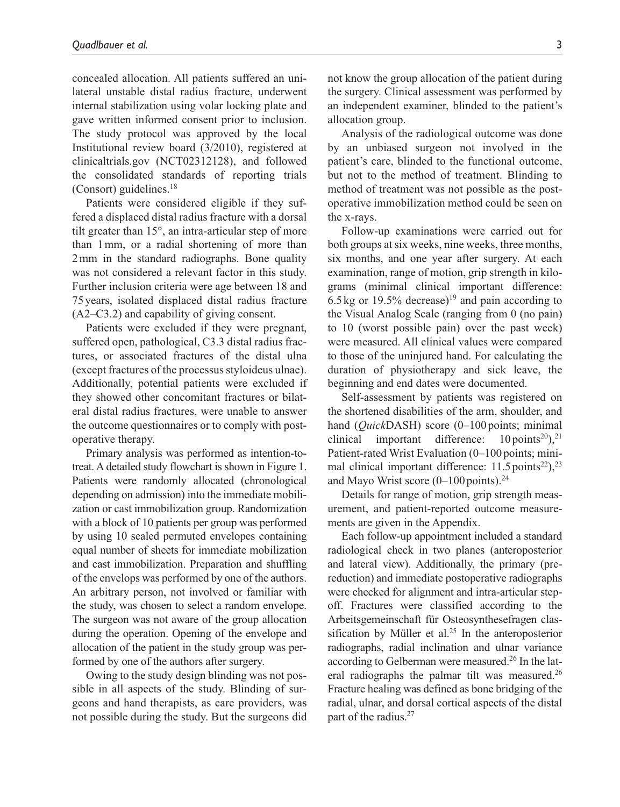concealed allocation. All patients suffered an unilateral unstable distal radius fracture, underwent internal stabilization using volar locking plate and gave written informed consent prior to inclusion. The study protocol was approved by the local Institutional review board (3/2010), registered at clinicaltrials.gov (NCT02312128), and followed the consolidated standards of reporting trials  $(Consort)$  guidelines.<sup>18</sup>

Patients were considered eligible if they suffered a displaced distal radius fracture with a dorsal tilt greater than 15°, an intra-articular step of more than 1mm, or a radial shortening of more than 2mm in the standard radiographs. Bone quality was not considered a relevant factor in this study. Further inclusion criteria were age between 18 and 75 years, isolated displaced distal radius fracture (A2–C3.2) and capability of giving consent.

Patients were excluded if they were pregnant, suffered open, pathological, C3.3 distal radius fractures, or associated fractures of the distal ulna (except fractures of the processus styloideus ulnae). Additionally, potential patients were excluded if they showed other concomitant fractures or bilateral distal radius fractures, were unable to answer the outcome questionnaires or to comply with postoperative therapy.

Primary analysis was performed as intention-totreat. A detailed study flowchart is shown in Figure 1. Patients were randomly allocated (chronological depending on admission) into the immediate mobilization or cast immobilization group. Randomization with a block of 10 patients per group was performed by using 10 sealed permuted envelopes containing equal number of sheets for immediate mobilization and cast immobilization. Preparation and shuffling of the envelops was performed by one of the authors. An arbitrary person, not involved or familiar with the study, was chosen to select a random envelope. The surgeon was not aware of the group allocation during the operation. Opening of the envelope and allocation of the patient in the study group was performed by one of the authors after surgery.

Owing to the study design blinding was not possible in all aspects of the study. Blinding of surgeons and hand therapists, as care providers, was not possible during the study. But the surgeons did not know the group allocation of the patient during the surgery. Clinical assessment was performed by an independent examiner, blinded to the patient's allocation group.

Analysis of the radiological outcome was done by an unbiased surgeon not involved in the patient's care, blinded to the functional outcome, but not to the method of treatment. Blinding to method of treatment was not possible as the postoperative immobilization method could be seen on the x-rays.

Follow-up examinations were carried out for both groups at six weeks, nine weeks, three months, six months, and one year after surgery. At each examination, range of motion, grip strength in kilograms (minimal clinical important difference: 6.5 kg or 19.5% decrease)<sup>19</sup> and pain according to the Visual Analog Scale (ranging from 0 (no pain) to 10 (worst possible pain) over the past week) were measured. All clinical values were compared to those of the uninjured hand. For calculating the duration of physiotherapy and sick leave, the beginning and end dates were documented.

Self-assessment by patients was registered on the shortened disabilities of the arm, shoulder, and hand (*Quick*DASH) score (0–100 points; minimal clinical important difference:  $10 \text{ points}^{20}$ ,  $21$ Patient-rated Wrist Evaluation (0–100 points; minimal clinical important difference:  $11.5$  points<sup>22</sup>),<sup>23</sup> and Mayo Wrist score  $(0-100 \text{ points})$ .<sup>24</sup>

Details for range of motion, grip strength measurement, and patient-reported outcome measurements are given in the Appendix.

Each follow-up appointment included a standard radiological check in two planes (anteroposterior and lateral view). Additionally, the primary (prereduction) and immediate postoperative radiographs were checked for alignment and intra-articular stepoff. Fractures were classified according to the Arbeitsgemeinschaft für Osteosynthesefragen classification by Müller et al.<sup>25</sup> In the anteroposterior radiographs, radial inclination and ulnar variance according to Gelberman were measured.<sup>26</sup> In the lateral radiographs the palmar tilt was measured.<sup>26</sup> Fracture healing was defined as bone bridging of the radial, ulnar, and dorsal cortical aspects of the distal part of the radius.<sup>27</sup>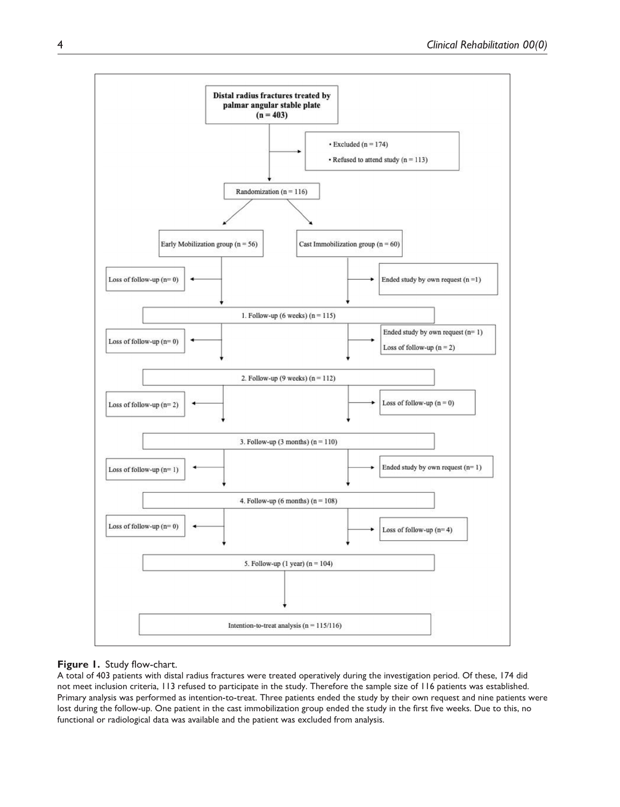

#### **Figure 1.** Study flow-chart.

A total of 403 patients with distal radius fractures were treated operatively during the investigation period. Of these, 174 did not meet inclusion criteria, 113 refused to participate in the study. Therefore the sample size of 116 patients was established. Primary analysis was performed as intention-to-treat. Three patients ended the study by their own request and nine patients were lost during the follow-up. One patient in the cast immobilization group ended the study in the first five weeks. Due to this, no functional or radiological data was available and the patient was excluded from analysis.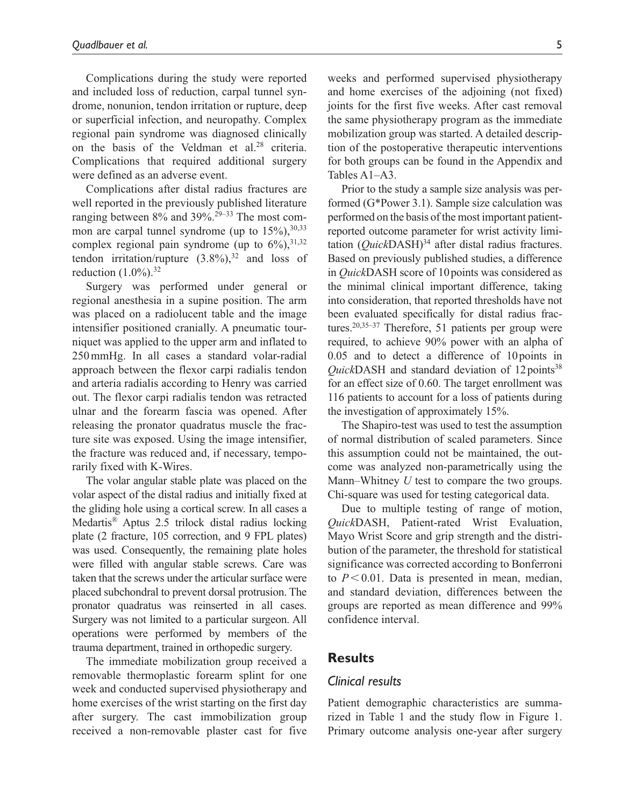Complications during the study were reported and included loss of reduction, carpal tunnel syndrome, nonunion, tendon irritation or rupture, deep or superficial infection, and neuropathy. Complex regional pain syndrome was diagnosed clinically on the basis of the Veldman et al.<sup>28</sup> criteria. Complications that required additional surgery were defined as an adverse event.

Complications after distal radius fractures are well reported in the previously published literature ranging between  $8\%$  and  $39\%$ <sup>29–33</sup> The most common are carpal tunnel syndrome (up to  $15\%,^{30,33}$ ) complex regional pain syndrome (up to  $6\%$ ),  $31,32$ tendon irritation/rupture  $(3.8\%)$ ,<sup>32</sup> and loss of reduction  $(1.0\%)$ .<sup>32</sup>

Surgery was performed under general or regional anesthesia in a supine position. The arm was placed on a radiolucent table and the image intensifier positioned cranially. A pneumatic tourniquet was applied to the upper arm and inflated to 250mmHg. In all cases a standard volar-radial approach between the flexor carpi radialis tendon and arteria radialis according to Henry was carried out. The flexor carpi radialis tendon was retracted ulnar and the forearm fascia was opened. After releasing the pronator quadratus muscle the fracture site was exposed. Using the image intensifier, the fracture was reduced and, if necessary, temporarily fixed with K-Wires.

The volar angular stable plate was placed on the volar aspect of the distal radius and initially fixed at the gliding hole using a cortical screw. In all cases a Medartis® Aptus 2.5 trilock distal radius locking plate (2 fracture, 105 correction, and 9 FPL plates) was used. Consequently, the remaining plate holes were filled with angular stable screws. Care was taken that the screws under the articular surface were placed subchondral to prevent dorsal protrusion. The pronator quadratus was reinserted in all cases. Surgery was not limited to a particular surgeon. All operations were performed by members of the trauma department, trained in orthopedic surgery.

The immediate mobilization group received a removable thermoplastic forearm splint for one week and conducted supervised physiotherapy and home exercises of the wrist starting on the first day after surgery. The cast immobilization group received a non-removable plaster cast for five weeks and performed supervised physiotherapy and home exercises of the adjoining (not fixed) joints for the first five weeks. After cast removal the same physiotherapy program as the immediate mobilization group was started. A detailed description of the postoperative therapeutic interventions for both groups can be found in the Appendix and Tables A1–A3.

Prior to the study a sample size analysis was performed (G\*Power 3.1). Sample size calculation was performed on the basis of the most important patientreported outcome parameter for wrist activity limitation  $(QuickDASH)^{34}$  after distal radius fractures. Based on previously published studies, a difference in *Quick*DASH score of 10points was considered as the minimal clinical important difference, taking into consideration, that reported thresholds have not been evaluated specifically for distal radius fractures.<sup>20,35–37</sup> Therefore, 51 patients per group were required, to achieve 90% power with an alpha of 0.05 and to detect a difference of 10points in *Quick*DASH and standard deviation of 12 points<sup>38</sup> for an effect size of 0.60. The target enrollment was 116 patients to account for a loss of patients during the investigation of approximately 15%.

The Shapiro-test was used to test the assumption of normal distribution of scaled parameters. Since this assumption could not be maintained, the outcome was analyzed non-parametrically using the Mann–Whitney *U* test to compare the two groups. Chi-square was used for testing categorical data.

Due to multiple testing of range of motion, *Quick*DASH, Patient-rated Wrist Evaluation, Mayo Wrist Score and grip strength and the distribution of the parameter, the threshold for statistical significance was corrected according to Bonferroni to  $P < 0.01$ . Data is presented in mean, median, and standard deviation, differences between the groups are reported as mean difference and 99% confidence interval.

## **Results**

### *Clinical results*

Patient demographic characteristics are summarized in Table 1 and the study flow in Figure 1. Primary outcome analysis one-year after surgery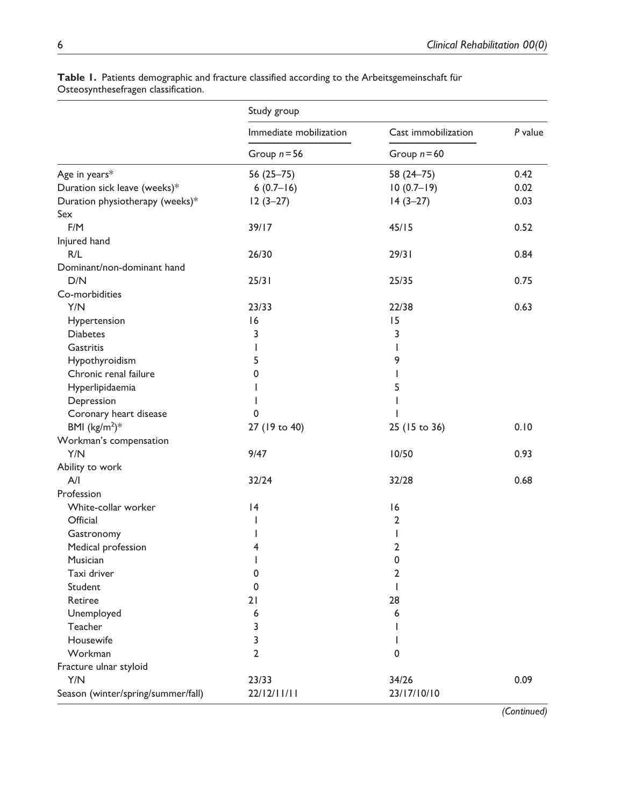|                                    | Study group            |                      |         |
|------------------------------------|------------------------|----------------------|---------|
|                                    | Immediate mobilization | Cast immobilization  | P value |
|                                    | Group $n = 56$         | Group $n = 60$       |         |
| Age in years*                      | 56 (25 - 75)           | 58 (24 - 75)         | 0.42    |
| Duration sick leave (weeks)*       | $6(0.7-16)$            | $10(0.7 - 19)$       | 0.02    |
| Duration physiotherapy (weeks)*    | $12(3-27)$             | $14(3-27)$           | 0.03    |
| Sex                                |                        |                      |         |
| F/M                                | 39/17                  | 45/15                | 0.52    |
| Injured hand                       |                        |                      |         |
| R/L                                | 26/30                  | 29/31                | 0.84    |
| Dominant/non-dominant hand         |                        |                      |         |
| D/N                                | 25/31                  | 25/35                | 0.75    |
| Co-morbidities                     |                        |                      |         |
| Y/N                                | 23/33                  | 22/38                | 0.63    |
| Hypertension                       | 16                     | 15                   |         |
| <b>Diabetes</b>                    | 3                      | 3                    |         |
| Gastritis                          | T                      | T                    |         |
| Hypothyroidism                     | 5                      | 9                    |         |
| Chronic renal failure              | 0                      | T                    |         |
| Hyperlipidaemia                    | ı                      | 5                    |         |
| Depression                         | $\mathbf{I}$           | T                    |         |
| Coronary heart disease             | $\mathbf 0$            | T                    |         |
| BMI $(kg/m2)*$                     | 27 (19 to 40)          | 25 (15 to 36)        | 0.10    |
| Workman's compensation             |                        |                      |         |
| Y/N                                | 9/47                   | 10/50                | 0.93    |
| Ability to work                    |                        |                      |         |
| A/I                                | 32/24                  | 32/28                | 0.68    |
| Profession                         |                        |                      |         |
|                                    |                        |                      |         |
| White-collar worker<br>Official    | 4                      | 16<br>$\overline{2}$ |         |
|                                    | T                      |                      |         |
| Gastronomy                         | T                      | $\overline{1}$       |         |
| Medical profession                 | 4                      | $\overline{2}$       |         |
| Musician                           | T                      | 0                    |         |
| Taxi driver                        | 0                      | $\overline{2}$       |         |
| Student                            | $\mathbf 0$            | $\mathbf{I}$         |         |
| Retiree                            | 21                     | 28                   |         |
| Unemployed                         | 6                      | 6                    |         |
| Teacher                            | 3                      | T                    |         |
| Housewife                          | 3                      | T                    |         |
| Workman                            | $\overline{2}$         | $\mathbf 0$          |         |
| Fracture ulnar styloid             |                        |                      |         |
| Y/N                                | 23/33                  | 34/26                | 0.09    |
| Season (winter/spring/summer/fall) | 22/12/11/11            | 23/17/10/10          |         |

**Table 1.** Patients demographic and fracture classified according to the Arbeitsgemeinschaft für Osteosynthesefragen classification.

 *(Continued)*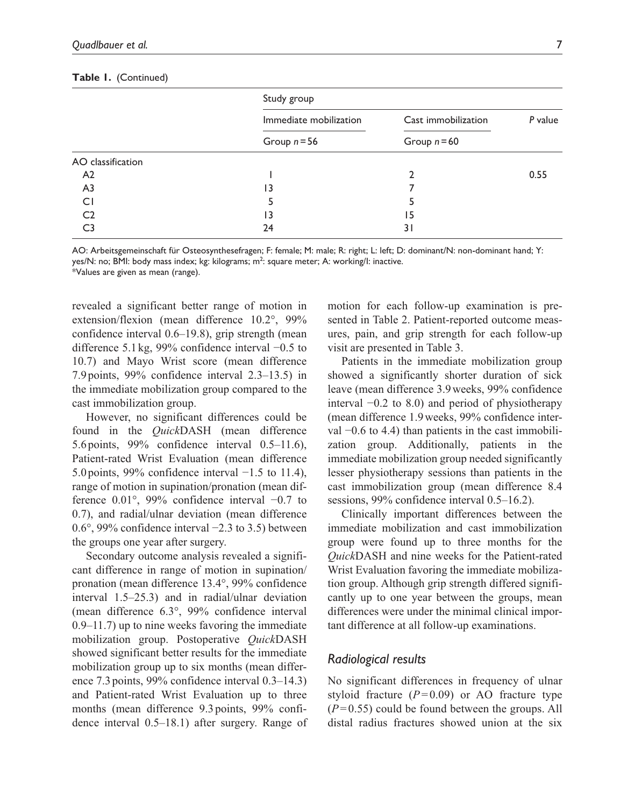|                   | Study group            |                     |         |
|-------------------|------------------------|---------------------|---------|
|                   | Immediate mobilization | Cast immobilization | P value |
|                   | Group $n = 56$         | Group $n = 60$      |         |
| AO classification |                        |                     |         |
| A <sub>2</sub>    |                        |                     | 0.55    |
| A <sub>3</sub>    | ۱3                     |                     |         |
| CI                | 5                      |                     |         |
| C <sub>2</sub>    | ۱3                     | 15                  |         |
| C3                | 24                     | 31                  |         |

#### **Table 1.** (Continued)

AO: Arbeitsgemeinschaft für Osteosynthesefragen; F: female; M: male; R: right; L: left; D: dominant/N: non-dominant hand; Y: yes/N: no; BMI: body mass index; kg: kilograms; m<sup>2</sup>: square meter; A: working/I: inactive. \*Values are given as mean (range).

revealed a significant better range of motion in extension/flexion (mean difference 10.2°, 99% confidence interval 0.6–19.8), grip strength (mean difference 5.1 kg, 99% confidence interval −0.5 to 10.7) and Mayo Wrist score (mean difference 7.9 points, 99% confidence interval 2.3–13.5) in the immediate mobilization group compared to the cast immobilization group.

However, no significant differences could be found in the *Quick*DASH (mean difference 5.6 points, 99% confidence interval 0.5–11.6), Patient-rated Wrist Evaluation (mean difference 5.0 points, 99% confidence interval −1.5 to 11.4), range of motion in supination/pronation (mean difference 0.01°, 99% confidence interval −0.7 to 0.7), and radial/ulnar deviation (mean difference 0.6°, 99% confidence interval −2.3 to 3.5) between the groups one year after surgery.

Secondary outcome analysis revealed a significant difference in range of motion in supination/ pronation (mean difference 13.4°, 99% confidence interval 1.5–25.3) and in radial/ulnar deviation (mean difference 6.3°, 99% confidence interval 0.9–11.7) up to nine weeks favoring the immediate mobilization group. Postoperative *Quick*DASH showed significant better results for the immediate mobilization group up to six months (mean difference 7.3 points, 99% confidence interval 0.3–14.3) and Patient-rated Wrist Evaluation up to three months (mean difference 9.3 points, 99% confidence interval 0.5–18.1) after surgery. Range of motion for each follow-up examination is presented in Table 2. Patient-reported outcome measures, pain, and grip strength for each follow-up visit are presented in Table 3.

Patients in the immediate mobilization group showed a significantly shorter duration of sick leave (mean difference 3.9weeks, 99% confidence interval −0.2 to 8.0) and period of physiotherapy (mean difference 1.9weeks, 99% confidence interval −0.6 to 4.4) than patients in the cast immobilization group. Additionally, patients in the immediate mobilization group needed significantly lesser physiotherapy sessions than patients in the cast immobilization group (mean difference 8.4 sessions, 99% confidence interval 0.5–16.2).

Clinically important differences between the immediate mobilization and cast immobilization group were found up to three months for the *Quick*DASH and nine weeks for the Patient-rated Wrist Evaluation favoring the immediate mobilization group. Although grip strength differed significantly up to one year between the groups, mean differences were under the minimal clinical important difference at all follow-up examinations.

## *Radiological results*

No significant differences in frequency of ulnar styloid fracture  $(P=0.09)$  or AO fracture type  $(P=0.55)$  could be found between the groups. All distal radius fractures showed union at the six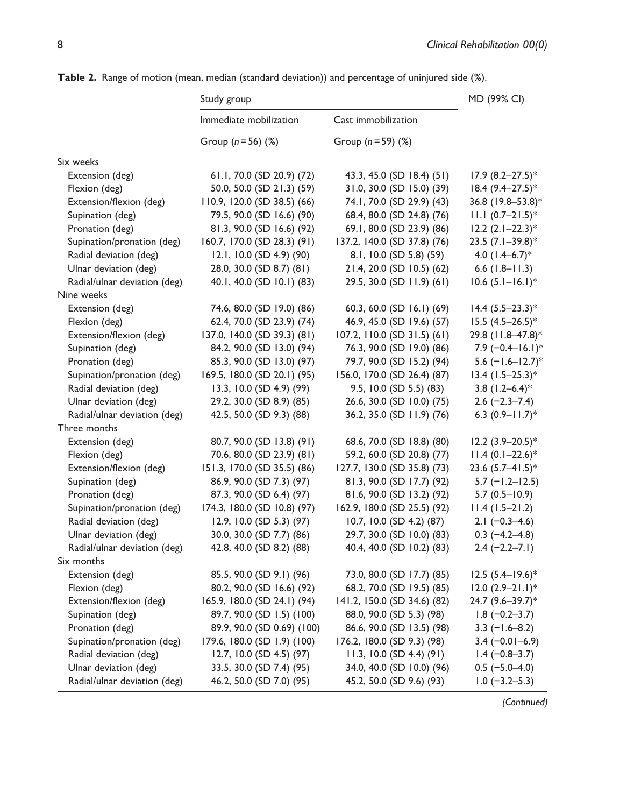|                              | Study group                   |                             | MD (99% CI)                  |
|------------------------------|-------------------------------|-----------------------------|------------------------------|
|                              | Immediate mobilization        | Cast immobilization         |                              |
|                              | Group $(n = 56)$ (%)          | Group $(n = 59)$ (%)        |                              |
| Six weeks                    |                               |                             |                              |
| Extension (deg)              | 61.1, 70.0 (SD 20.9) (72)     | 43.3, 45.0 (SD 18.4) (51)   | $17.9 (8.2 - 27.5)^*$        |
| Flexion (deg)                | 50.0, 50.0 (SD 21.3) (59)     | 31.0, 30.0 (SD 15.0) (39)   | $18.4 (9.4 - 27.5)^*$        |
| Extension/flexion (deg)      | $110.9, 120.0$ (SD 38.5) (66) | 74.1, 70.0 (SD 29.9) (43)   | 36.8 (19.8–53.8)*            |
| Supination (deg)             | 79.5, 90.0 (SD 16.6) (90)     | 68.4, 80.0 (SD 24.8) (76)   | $11.1 (0.7 - 21.5)^*$        |
| Pronation (deg)              | 81.3, 90.0 (SD 16.6) (92)     | 69.1, 80.0 (SD 23.9) (86)   | $12.2$ $(2.1 - 22.3)^*$      |
| Supination/pronation (deg)   | 160.7, 170.0 (SD 28.3) (91)   | 137.2, 140.0 (SD 37.8) (76) | 23.5 $(7.1 - 39.8)^*$        |
| Radial deviation (deg)       | $12.1, 10.0$ (SD 4.9) (90)    | 8.1, 10.0 (SD 5.8) (59)     | 4.0 $(1.4-6.7)^*$            |
| Ulnar deviation (deg)        | 28.0, 30.0 (SD 8.7) (81)      | 21.4, 20.0 (SD 10.5) (62)   | $6.6$ (1.8-11.3)             |
| Radial/ulnar deviation (deg) | 40.1, 40.0 (SD 10.1) (83)     | 29.5, 30.0 (SD 11.9) (61)   | $10.6 (5.1 - 16.1)^*$        |
| Nine weeks                   |                               |                             |                              |
| Extension (deg)              | 74.6, 80.0 (SD 19.0) (86)     | 60.3, 60.0 (SD 16.1) (69)   | $14.4 (5.5 - 23.3)^*$        |
| Flexion (deg)                | 62.4, 70.0 (SD 23.9) (74)     | 46.9, 45.0 (SD 19.6) (57)   | $15.5 (4.5 - 26.5)^*$        |
| Extension/flexion (deg)      | 137.0, 140.0 (SD 39.3) (81)   | 107.2, 110.0 (SD 31.5) (61) | 29.8 (11.8-47.8)*            |
| Supination (deg)             | 84.2, 90.0 (SD 13.0) (94)     | 76.3, 90.0 (SD 19.0) (86)   | $7.9 (-0.4 - 16.1)^*$        |
| Pronation (deg)              | 85.3, 90.0 (SD 13.0) (97)     | 79.7, 90.0 (SD 15.2) (94)   | 5.6 $(-1.6 - 12.7)^*$        |
| Supination/pronation (deg)   | 169.5, 180.0 (SD 20.1) (95)   | 156.0, 170.0 (SD 26.4) (87) | $13.4$ (1.5-25.3)*           |
| Radial deviation (deg)       | $13.3, 10.0$ (SD 4.9) (99)    | $9.5, 10.0$ (SD 5.5) (83)   | $3.8$ (1.2–6.4) <sup>*</sup> |
| Ulnar deviation (deg)        | 29.2, 30.0 (SD 8.9) (85)      | 26.6, 30.0 (SD 10.0) (75)   | $2.6$ (-2.3–7.4)             |
| Radial/ulnar deviation (deg) | 42.5, 50.0 (SD 9.3) (88)      | 36.2, 35.0 (SD 11.9) (76)   | 6.3 $(0.9 - 11.7)^*$         |
| Three months                 |                               |                             |                              |
| Extension (deg)              | 80.7, 90.0 (SD 13.8) (91)     | 68.6, 70.0 (SD 18.8) (80)   | $12.2 (3.9 - 20.5)^*$        |
| Flexion (deg)                | 70.6, 80.0 (SD 23.9) (81)     | 59.2, 60.0 (SD 20.8) (77)   | $11.4 (0.1 - 22.6)^*$        |
| Extension/flexion (deg)      | 151.3, 170.0 (SD 35.5) (86)   | 127.7, 130.0 (SD 35.8) (73) | 23.6 $(5.7 - 41.5)^*$        |
| Supination (deg)             | 86.9, 90.0 (SD 7.3) (97)      | 81.3, 90.0 (SD 17.7) (92)   | $5.7$ (-1.2-12.5)            |
| Pronation (deg)              | 87.3, 90.0 (SD 6.4) (97)      | 81.6, 90.0 (SD 13.2) (92)   | $5.7(0.5 - 10.9)$            |
| Supination/pronation (deg)   | 174.3, 180.0 (SD 10.8) (97)   | 162.9, 180.0 (SD 25.5) (92) | $11.4(1.5-21.2)$             |
| Radial deviation (deg)       | $12.9, 10.0$ (SD 5.3) (97)    | 10.7, 10.0 (SD 4.2) (87)    | $2.1 (-0.3-4.6)$             |
| Ulnar deviation (deg)        | 30.0, 30.0 (SD 7.7) (86)      | 29.7, 30.0 (SD 10.0) (83)   | $0.3$ (-4.2–4.8)             |
| Radial/ulnar deviation (deg) | 42.8, 40.0 (SD 8.2) (88)      | 40.4, 40.0 (SD 10.2) (83)   | $2.4 (-2.2 - 7.1)$           |
| Six months                   |                               |                             |                              |
| Extension (deg)              | 85.5, 90.0 (SD 9.1) (96)      | 73.0, 80.0 (SD 17.7) (85)   | $12.5(5.4 - 19.6)^*$         |
| Flexion (deg)                | 80.2, 90.0 (SD 16.6) (92)     | 68.2, 70.0 (SD 19.5) (85)   | $12.0 (2.9 - 21.1)^*$        |
| Extension/flexion (deg)      | 165.9, 180.0 (SD 24.1) (94)   | 141.2, 150.0 (SD 34.6) (82) | 24.7 (9.6-39.7)*             |
| Supination (deg)             | 89.7, 90.0 (SD 1.5) (100)     | 88.0, 90.0 (SD 5.3) (98)    | $1.8(-0.2-3.7)$              |
| Pronation (deg)              | 89.9, 90.0 (SD 0.69) (100)    | 86.6, 90.0 (SD 13.5) (98)   | $3.3$ (-1.6-8.2)             |
| Supination/pronation (deg)   | 179.6, 180.0 (SD 1.9) (100)   | 176.2, 180.0 (SD 9.3) (98)  | $3.4 (-0.01 - 6.9)$          |
| Radial deviation (deg)       | 12.7, 10.0 (SD 4.5) (97)      | 11.3, 10.0 (SD 4.4) (91)    | $1.4 (-0.8 - 3.7)$           |
| Ulnar deviation (deg)        | 33.5, 30.0 (SD 7.4) (95)      | 34.0, 40.0 (SD 10.0) (96)   | $0.5$ (-5.0-4.0)             |
| Radial/ulnar deviation (deg) | 46.2, 50.0 (SD 7.0) (95)      | 45.2, 50.0 (SD 9.6) (93)    | $1.0$ (-3.2-5.3)             |

Table 2. Range of motion (mean, median (standard deviation)) and percentage of uninjured side (%).

 *(Continued)*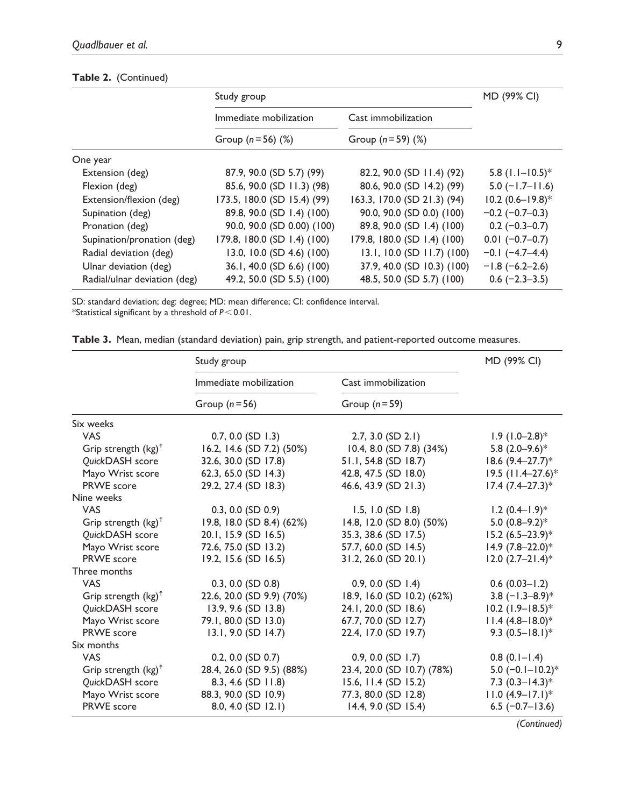## **Table 2.** (Continued)

|                              | Study group                 |                             | MD (99% CI)           |  |
|------------------------------|-----------------------------|-----------------------------|-----------------------|--|
|                              | Immediate mobilization      | Cast immobilization         |                       |  |
|                              | Group $(n = 56)$ (%)        | Group $(n = 59)$ $(\%)$     |                       |  |
| One year                     |                             |                             |                       |  |
| Extension (deg)              | 87.9, 90.0 (SD 5.7) (99)    | 82.2, 90.0 (SD 11.4) (92)   | 5.8 $(1.1 - 10.5)^*$  |  |
| Flexion (deg)                | 85.6, 90.0 (SD 11.3) (98)   | 80.6, 90.0 (SD 14.2) (99)   | $5.0$ (-1.7–11.6)     |  |
| Extension/flexion (deg)      | 173.5, 180.0 (SD 15.4) (99) | 163.3, 170.0 (SD 21.3) (94) | $10.2 (0.6 - 19.8)^*$ |  |
| Supination (deg)             | 89.8, 90.0 (SD 1.4) (100)   | 90.0, 90.0 (SD 0.0) (100)   | $-0.2$ ( $-0.7-0.3$ ) |  |
| Pronation (deg)              | 90.0, 90.0 (SD 0.00) (100)  | 89.8, 90.0 (SD 1.4) (100)   | $0.2$ (-0.3-0.7)      |  |
| Supination/pronation (deg)   | 179.8, 180.0 (SD 1.4) (100) | 179.8, 180.0 (SD 1.4) (100) | $0.01 (-0.7 - 0.7)$   |  |
| Radial deviation (deg)       | 13.0, 10.0 (SD 4.6) (100)   | 13.1, 10.0 (SD 11.7) (100)  | $-0.1$ $(-4.7-4.4)$   |  |
| Ulnar deviation (deg)        | 36.1, 40.0 (SD 6.6) (100)   | 37.9, 40.0 (SD 10.3) (100)  | $-1.8$ (-6.2-2.6)     |  |
| Radial/ulnar deviation (deg) | 49.2, 50.0 (SD 5.5) (100)   | 48.5, 50.0 (SD 5.7) (100)   | $0.6$ (-2.3-3.5)      |  |

SD: standard deviation; deg: degree; MD: mean difference; CI: confidence interval.

\*Statistical significant by a threshold of *P*<0.01.

**Table 3.** Mean, median (standard deviation) pain, grip strength, and patient-reported outcome measures.

|                                | Study group               |                            | MD (99% CI)                  |
|--------------------------------|---------------------------|----------------------------|------------------------------|
|                                | Immediate mobilization    | Cast immobilization        |                              |
|                                | Group $(n=56)$            | Group $(n=59)$             |                              |
| Six weeks                      |                           |                            |                              |
| <b>VAS</b>                     | $0.7, 0.0$ (SD 1.3)       | $2.7, 3.0$ (SD $2.1$ )     | $1.9(1.0-2.8)$ <sup>*</sup>  |
| Grip strength $(kg)^{\dagger}$ | 16.2, 14.6 (SD 7.2) (50%) | 10.4, 8.0 (SD 7.8) (34%)   | 5.8 $(2.0-9.6)$ <sup>*</sup> |
| QuickDASH score                | 32.6, 30.0 (SD 17.8)      | 51.1, 54.8 (SD 18.7)       | $18.6 (9.4 - 27.7)^*$        |
| Mayo Wrist score               | 62.3, 65.0 (SD 14.3)      | 42.8, 47.5 (SD 18.0)       | 19.5 (11.4-27.6)*            |
| PRWE score                     | 29.2, 27.4 (SD 18.3)      | 46.6, 43.9 (SD 21.3)       | $17.4 (7.4 - 27.3)^*$        |
| Nine weeks                     |                           |                            |                              |
| <b>VAS</b>                     | $0.3, 0.0$ (SD $0.9$ )    | $1.5, 1.0$ (SD $1.8$ )     | $1.2 (0.4 - 1.9)^*$          |
| Grip strength $(kg)^{\dagger}$ | 19.8, 18.0 (SD 8.4) (62%) | 14.8, 12.0 (SD 8.0) (50%)  | 5.0 $(0.8-9.2)$ *            |
| QuickDASH score                | 20.1, 15.9 (SD 16.5)      | 35.3, 38.6 (SD 17.5)       | $15.2 (6.5 - 23.9)^*$        |
| Mayo Wrist score               | 72.6, 75.0 (SD 13.2)      | 57.7, 60.0 (SD 14.5)       | $14.9 (7.8 - 22.0)^*$        |
| PRWE score                     | 19.2, 15.6 (SD 16.5)      | 31.2, 26.0 (SD 20.1)       | $12.0 (2.7 - 21.4)^*$        |
| Three months                   |                           |                            |                              |
| <b>VAS</b>                     | $0.3, 0.0$ (SD $0.8$ )    | $0.9, 0.0$ (SD 1.4)        | $0.6(0.03 - 1.2)$            |
| Grip strength $(kg)^{\dagger}$ | 22.6, 20.0 (SD 9.9) (70%) | 18.9, 16.0 (SD 10.2) (62%) | 3.8 $(-1.3-8.9)*$            |
| QuickDASH score                | 13.9, 9.6 (SD 13.8)       | 24.1, 20.0 (SD 18.6)       | $10.2$ (1.9-18.5)*           |
| Mayo Wrist score               | 79.1, 80.0 (SD 13.0)      | 67.7, 70.0 (SD 12.7)       | $11.4 (4.8 - 18.0)^*$        |
| PRWE score                     | $13.1, 9.0$ (SD $14.7$ )  | 22.4, 17.0 (SD 19.7)       | 9.3 $(0.5 - 18.1)^*$         |
| Six months                     |                           |                            |                              |
| <b>VAS</b>                     | 0.2, 0.0 (SD 0.7)         | $0.9, 0.0$ (SD 1.7)        | $(0.1 - 1.4)$                |
| Grip strength $(kg)^{\dagger}$ | 28.4, 26.0 (SD 9.5) (88%) | 23.4, 20.0 (SD 10.7) (78%) | 5.0 $(-0.1 - 10.2)$ *        |
| QuickDASH score                | 8.3, 4.6 (SD 11.8)        | 15.6, 11.4 (SD 15.2)       | 7.3 $(0.3 - 14.3)^*$         |
| Mayo Wrist score               | 88.3, 90.0 (SD 10.9)      | 77.3, 80.0 (SD 12.8)       | $11.0 (4.9 - 17.1)^*$        |
| <b>PRWE</b> score              | 8.0, 4.0 $(SD 12.1)$      | $14.4, 9.0$ (SD $15.4$ )   | $6.5$ (-0.7-13.6)            |

 *(Continued)*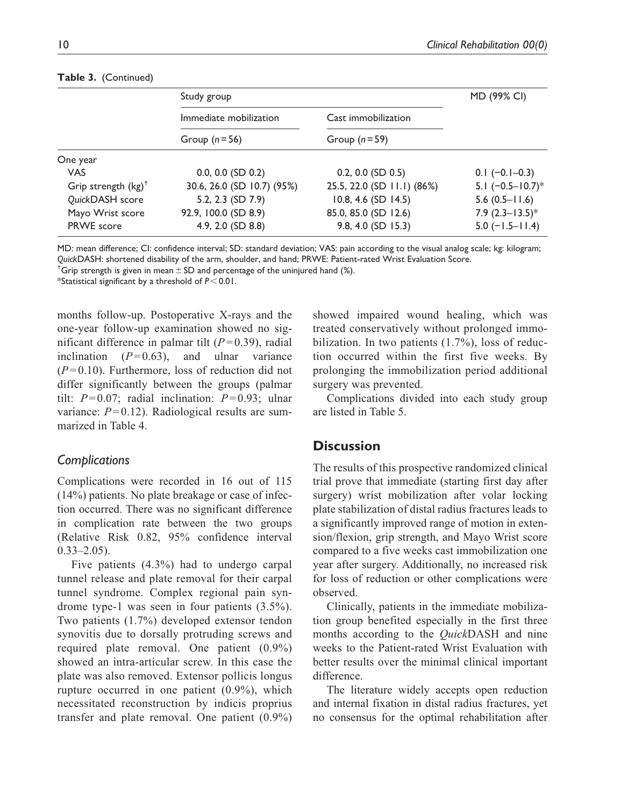|                                | Study group                |                            | MD (99% CI)           |  |
|--------------------------------|----------------------------|----------------------------|-----------------------|--|
|                                | Immediate mobilization     | Cast immobilization        |                       |  |
|                                | Group $(n=56)$             | Group $(n=59)$             |                       |  |
| One year                       |                            |                            |                       |  |
| <b>VAS</b>                     | $0.0, 0.0$ (SD $0.2$ )     | $0.2, 0.0$ (SD $0.5$ )     | $0.1$ (-0.1-0.3)      |  |
| Grip strength $(kg)^{\dagger}$ | 30.6, 26.0 (SD 10.7) (95%) | 25.5, 22.0 (SD 11.1) (86%) | 5.1 $(-0.5 - 10.7)^*$ |  |
| QuickDASH score                | 5.2, 2.3 (SD 7.9)          | $10.8, 4.6$ (SD $14.5$ )   | $5.6(0.5 - 11.6)$     |  |
| Mayo Wrist score               | 92.9, 100.0 (SD 8.9)       | 85.0, 85.0 (SD 12.6)       | 7.9 $(2.3 - 13.5)^*$  |  |
| <b>PRWE</b> score              | 4.9, 2.0 (SD 8.8)          | 9.8, 4.0 (SD 15.3)         | $5.0$ (-1.5-11.4)     |  |

## **Table 3.** (Continued)

MD: mean difference; CI: confidence interval; SD: standard deviation; VAS: pain according to the visual analog scale; kg: kilogram; *Quick*DASH: shortened disability of the arm, shoulder, and hand; PRWE: Patient-rated Wrist Evaluation Score.

<sup> $\dagger$ </sup>Grip strength is given in mean  $\pm$  SD and percentage of the uninjured hand (%).

\*Statistical significant by a threshold of *P*<0.01.

months follow-up. Postoperative X-rays and the one-year follow-up examination showed no significant difference in palmar tilt  $(P=0.39)$ , radial inclination  $(P=0.63)$ , and ulnar variance  $(P=0.10)$ . Furthermore, loss of reduction did not differ significantly between the groups (palmar tilt: *P*=0.07; radial inclination: *P*=0.93; ulnar variance:  $P=0.12$ ). Radiological results are summarized in Table 4.

## *Complications*

Complications were recorded in 16 out of 115 (14%) patients. No plate breakage or case of infection occurred. There was no significant difference in complication rate between the two groups (Relative Risk 0.82, 95% confidence interval  $0.33 - 2.05$ ).

Five patients (4.3%) had to undergo carpal tunnel release and plate removal for their carpal tunnel syndrome. Complex regional pain syndrome type-1 was seen in four patients (3.5%). Two patients (1.7%) developed extensor tendon synovitis due to dorsally protruding screws and required plate removal. One patient (0.9%) showed an intra-articular screw. In this case the plate was also removed. Extensor pollicis longus rupture occurred in one patient (0.9%), which necessitated reconstruction by indicis proprius transfer and plate removal. One patient (0.9%) showed impaired wound healing, which was treated conservatively without prolonged immobilization. In two patients (1.7%), loss of reduction occurred within the first five weeks. By prolonging the immobilization period additional surgery was prevented.

Complications divided into each study group are listed in Table 5.

# **Discussion**

The results of this prospective randomized clinical trial prove that immediate (starting first day after surgery) wrist mobilization after volar locking plate stabilization of distal radius fractures leads to a significantly improved range of motion in extension/flexion, grip strength, and Mayo Wrist score compared to a five weeks cast immobilization one year after surgery. Additionally, no increased risk for loss of reduction or other complications were observed.

Clinically, patients in the immediate mobilization group benefited especially in the first three months according to the *Quick*DASH and nine weeks to the Patient-rated Wrist Evaluation with better results over the minimal clinical important difference.

The literature widely accepts open reduction and internal fixation in distal radius fractures, yet no consensus for the optimal rehabilitation after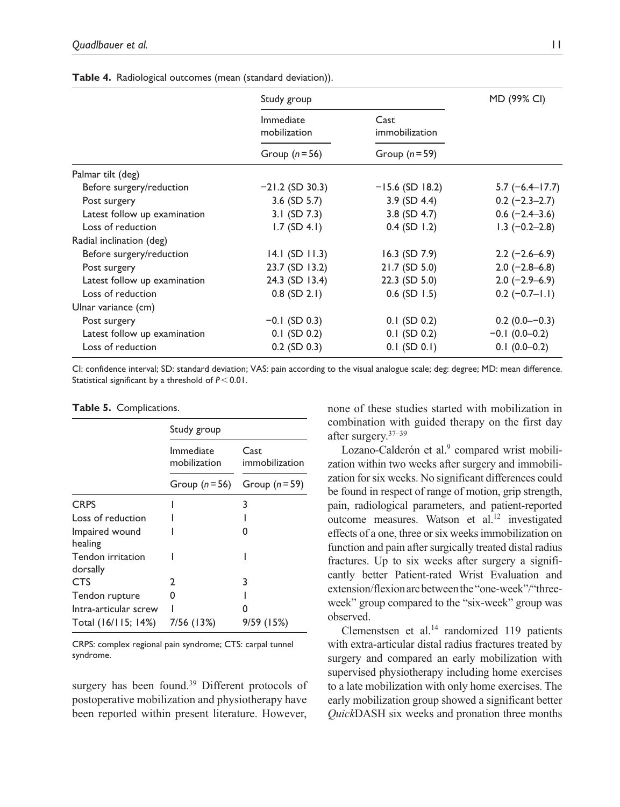|                              | Study group               |                        | MD (99% CI)        |
|------------------------------|---------------------------|------------------------|--------------------|
|                              | Immediate<br>mobilization | Cast<br>immobilization |                    |
|                              | Group $(n=56)$            | Group $(n=59)$         |                    |
| Palmar tilt (deg)            |                           |                        |                    |
| Before surgery/reduction     | $-21.2$ (SD 30.3)         | $-15.6$ (SD 18.2)      | $5.7$ (-6.4-17.7)  |
| Post surgery                 | $3.6$ (SD $5.7$ )         | $3.9$ (SD 4.4)         | $0.2 (-2.3 - 2.7)$ |
| Latest follow up examination | 3.1 (SD 7.3)              | 3.8 $(SD 4.7)$         | $0.6$ (-2.4–3.6)   |
| Loss of reduction            | $1.7$ (SD 4.1)            | $0.4$ (SD 1.2)         | $1.3$ (-0.2-2.8)   |
| Radial inclination (deg)     |                           |                        |                    |
| Before surgery/reduction     | $14.1$ (SD $11.3$ )       | $16.3$ (SD 7.9)        | $2.2 (-2.6 - 6.9)$ |
| Post surgery                 | 23.7 (SD 13.2)            | $21.7$ (SD 5.0)        | $2.0$ (-2.8–6.8)   |
| Latest follow up examination | 24.3 (SD 13.4)            | $22.3$ (SD 5.0)        | $2.0$ (-2.9–6.9)   |
| Loss of reduction            | $0.8$ (SD 2.1)            | $0.6$ (SD 1.5)         | $0.2 (-0.7 - 1.1)$ |
| Ulnar variance (cm)          |                           |                        |                    |
| Post surgery                 | $-0.1$ (SD 0.3)           | $0.1$ (SD $0.2$ )      | $0.2(0.0 - 0.3)$   |
| Latest follow up examination | $0.1$ (SD $0.2$ )         | $0.1$ (SD 0.2)         | $-0.1$ (0.0-0.2)   |
| Loss of reduction            | $0.2$ (SD $0.3$ )         | $0.1$ (SD $0.1$ )      | $0.1(0.0-0.2)$     |

**Table 4.** Radiological outcomes (mean (standard deviation)).

CI: confidence interval; SD: standard deviation; VAS: pain according to the visual analogue scale; deg: degree; MD: mean difference. Statistical significant by a threshold of *P*<0.01.

## **Table 5.** Complications.

|                               | Study group               |                        |
|-------------------------------|---------------------------|------------------------|
|                               | Immediate<br>mobilization | Cast<br>immobilization |
|                               | Group $(n=56)$            | Group $(n=59)$         |
| <b>CRPS</b>                   |                           | 3                      |
| Loss of reduction             |                           |                        |
| Impaired wound<br>healing     |                           |                        |
| Tendon irritation<br>dorsally |                           |                        |
| <b>CTS</b>                    | 2                         | 3                      |
| Tendon rupture                | O                         |                        |
| Intra-articular screw         |                           |                        |
| Total (16/115; 14%)           | 7/56 (13%)                | 9/59 (15%)             |

CRPS: complex regional pain syndrome; CTS: carpal tunnel syndrome.

surgery has been found.<sup>39</sup> Different protocols of postoperative mobilization and physiotherapy have been reported within present literature. However, none of these studies started with mobilization in combination with guided therapy on the first day after surgery.37–39

Lozano-Calderón et al.<sup>9</sup> compared wrist mobilization within two weeks after surgery and immobilization for six weeks. No significant differences could be found in respect of range of motion, grip strength, pain, radiological parameters, and patient-reported outcome measures. Watson et al.<sup>12</sup> investigated effects of a one, three or six weeks immobilization on function and pain after surgically treated distal radius fractures. Up to six weeks after surgery a significantly better Patient-rated Wrist Evaluation and extension/flexion arc between the "one-week"/"threeweek" group compared to the "six-week" group was observed.

Clemenstsen et al.<sup>14</sup> randomized 119 patients with extra-articular distal radius fractures treated by surgery and compared an early mobilization with supervised physiotherapy including home exercises to a late mobilization with only home exercises. The early mobilization group showed a significant better *Quick*DASH six weeks and pronation three months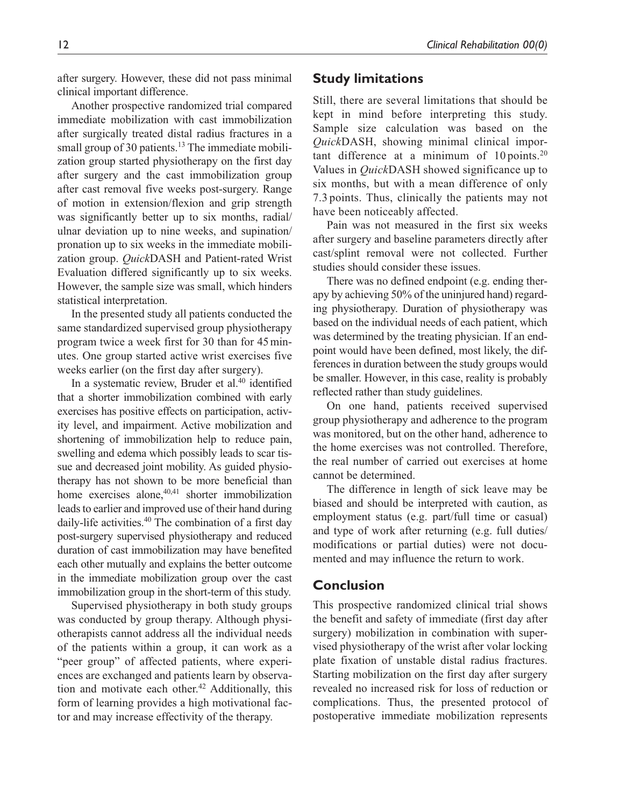after surgery. However, these did not pass minimal clinical important difference.

Another prospective randomized trial compared immediate mobilization with cast immobilization after surgically treated distal radius fractures in a small group of 30 patients. $13$  The immediate mobilization group started physiotherapy on the first day after surgery and the cast immobilization group after cast removal five weeks post-surgery. Range of motion in extension/flexion and grip strength was significantly better up to six months, radial/ ulnar deviation up to nine weeks, and supination/ pronation up to six weeks in the immediate mobilization group. *Quick*DASH and Patient-rated Wrist Evaluation differed significantly up to six weeks. However, the sample size was small, which hinders statistical interpretation.

In the presented study all patients conducted the same standardized supervised group physiotherapy program twice a week first for 30 than for 45minutes. One group started active wrist exercises five weeks earlier (on the first day after surgery).

In a systematic review, Bruder et al. $40$  identified that a shorter immobilization combined with early exercises has positive effects on participation, activity level, and impairment. Active mobilization and shortening of immobilization help to reduce pain, swelling and edema which possibly leads to scar tissue and decreased joint mobility. As guided physiotherapy has not shown to be more beneficial than home exercises alone, $40,41$  shorter immobilization leads to earlier and improved use of their hand during daily-life activities.<sup>40</sup> The combination of a first day post-surgery supervised physiotherapy and reduced duration of cast immobilization may have benefited each other mutually and explains the better outcome in the immediate mobilization group over the cast immobilization group in the short-term of this study.

Supervised physiotherapy in both study groups was conducted by group therapy. Although physiotherapists cannot address all the individual needs of the patients within a group, it can work as a "peer group" of affected patients, where experiences are exchanged and patients learn by observation and motivate each other.<sup>42</sup> Additionally, this form of learning provides a high motivational factor and may increase effectivity of the therapy.

# **Study limitations**

Still, there are several limitations that should be kept in mind before interpreting this study. Sample size calculation was based on the *Quick*DASH, showing minimal clinical important difference at a minimum of  $10 \text{ points}$ .<sup>20</sup> Values in *Quick*DASH showed significance up to six months, but with a mean difference of only 7.3 points. Thus, clinically the patients may not have been noticeably affected.

Pain was not measured in the first six weeks after surgery and baseline parameters directly after cast/splint removal were not collected. Further studies should consider these issues.

There was no defined endpoint (e.g. ending therapy by achieving 50% of the uninjured hand) regarding physiotherapy. Duration of physiotherapy was based on the individual needs of each patient, which was determined by the treating physician. If an endpoint would have been defined, most likely, the differences in duration between the study groups would be smaller. However, in this case, reality is probably reflected rather than study guidelines.

On one hand, patients received supervised group physiotherapy and adherence to the program was monitored, but on the other hand, adherence to the home exercises was not controlled. Therefore, the real number of carried out exercises at home cannot be determined.

The difference in length of sick leave may be biased and should be interpreted with caution, as employment status (e.g. part/full time or casual) and type of work after returning (e.g. full duties/ modifications or partial duties) were not documented and may influence the return to work.

# **Conclusion**

This prospective randomized clinical trial shows the benefit and safety of immediate (first day after surgery) mobilization in combination with supervised physiotherapy of the wrist after volar locking plate fixation of unstable distal radius fractures. Starting mobilization on the first day after surgery revealed no increased risk for loss of reduction or complications. Thus, the presented protocol of postoperative immediate mobilization represents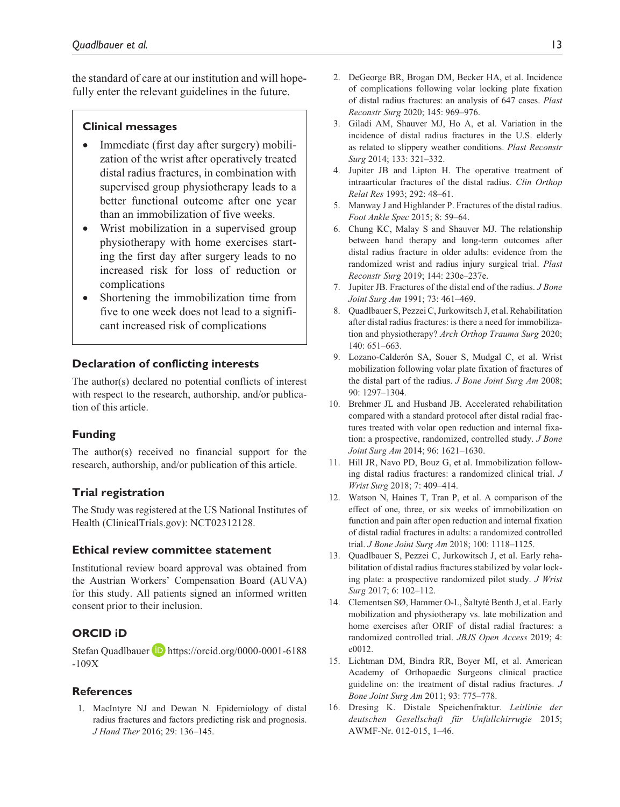the standard of care at our institution and will hopefully enter the relevant guidelines in the future.

## **Clinical messages**

- Immediate (first day after surgery) mobilization of the wrist after operatively treated distal radius fractures, in combination with supervised group physiotherapy leads to a better functional outcome after one year than an immobilization of five weeks.
- Wrist mobilization in a supervised group physiotherapy with home exercises starting the first day after surgery leads to no increased risk for loss of reduction or complications
- Shortening the immobilization time from five to one week does not lead to a significant increased risk of complications

## **Declaration of conflicting interests**

The author(s) declared no potential conflicts of interest with respect to the research, authorship, and/or publication of this article.

## **Funding**

The author(s) received no financial support for the research, authorship, and/or publication of this article.

## **Trial registration**

The Study was registered at the US National Institutes of Health (ClinicalTrials.gov): NCT02312128.

## **Ethical review committee statement**

Institutional review board approval was obtained from the Austrian Workers' Compensation Board (AUVA) for this study. All patients signed an informed written consent prior to their inclusion.

# **ORCID iD**

Stefan Quadlbauer **D** [https://orcid.org/0000-0001-6188](https://orcid.org/0000-0001-6188-109X) [-109X](https://orcid.org/0000-0001-6188-109X)

## **References**

1. MacIntyre NJ and Dewan N. Epidemiology of distal radius fractures and factors predicting risk and prognosis. *J Hand Ther* 2016; 29: 136–145.

- 2. DeGeorge BR, Brogan DM, Becker HA, et al. Incidence of complications following volar locking plate fixation of distal radius fractures: an analysis of 647 cases. *Plast Reconstr Surg* 2020; 145: 969–976.
- 3. Giladi AM, Shauver MJ, Ho A, et al. Variation in the incidence of distal radius fractures in the U.S. elderly as related to slippery weather conditions. *Plast Reconstr Surg* 2014; 133: 321–332.
- 4. Jupiter JB and Lipton H. The operative treatment of intraarticular fractures of the distal radius. *Clin Orthop Relat Res* 1993; 292: 48–61.
- 5. Manway J and Highlander P. Fractures of the distal radius. *Foot Ankle Spec* 2015; 8: 59–64.
- 6. Chung KC, Malay S and Shauver MJ. The relationship between hand therapy and long-term outcomes after distal radius fracture in older adults: evidence from the randomized wrist and radius injury surgical trial. *Plast Reconstr Surg* 2019; 144: 230e–237e.
- 7. Jupiter JB. Fractures of the distal end of the radius. *J Bone Joint Surg Am* 1991; 73: 461–469.
- 8. Quadlbauer S, Pezzei C, Jurkowitsch J, et al. Rehabilitation after distal radius fractures: is there a need for immobilization and physiotherapy? *Arch Orthop Trauma Surg* 2020; 140: 651–663.
- 9. Lozano-Calderón SA, Souer S, Mudgal C, et al. Wrist mobilization following volar plate fixation of fractures of the distal part of the radius. *J Bone Joint Surg Am* 2008; 90: 1297–1304.
- 10. Brehmer JL and Husband JB. Accelerated rehabilitation compared with a standard protocol after distal radial fractures treated with volar open reduction and internal fixation: a prospective, randomized, controlled study. *J Bone Joint Surg Am* 2014; 96: 1621–1630.
- 11. Hill JR, Navo PD, Bouz G, et al. Immobilization following distal radius fractures: a randomized clinical trial. *J Wrist Surg* 2018; 7: 409–414.
- 12. Watson N, Haines T, Tran P, et al. A comparison of the effect of one, three, or six weeks of immobilization on function and pain after open reduction and internal fixation of distal radial fractures in adults: a randomized controlled trial. *J Bone Joint Surg Am* 2018; 100: 1118–1125.
- 13. Quadlbauer S, Pezzei C, Jurkowitsch J, et al. Early rehabilitation of distal radius fractures stabilized by volar locking plate: a prospective randomized pilot study. *J Wrist Surg* 2017; 6: 102–112.
- 14. Clementsen SØ, Hammer O-L, Šaltytė Benth J, et al. Early mobilization and physiotherapy vs. late mobilization and home exercises after ORIF of distal radial fractures: a randomized controlled trial. *JBJS Open Access* 2019; 4: e0012.
- 15. Lichtman DM, Bindra RR, Boyer MI, et al. American Academy of Orthopaedic Surgeons clinical practice guideline on: the treatment of distal radius fractures. *J Bone Joint Surg Am* 2011; 93: 775–778.
- 16. Dresing K. Distale Speichenfraktur. *Leitlinie der deutschen Gesellschaft für Unfallchirrugie* 2015; AWMF-Nr. 012-015, 1–46.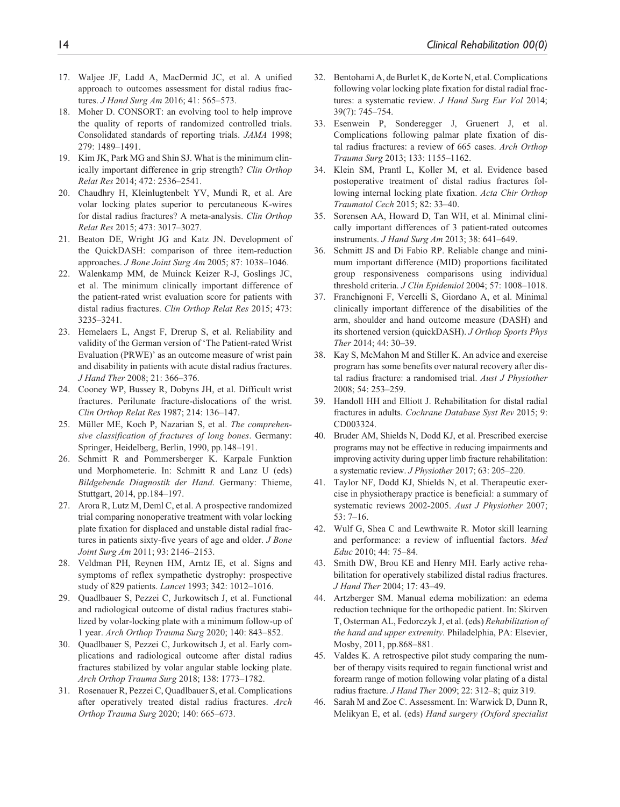- 17. Waljee JF, Ladd A, MacDermid JC, et al. A unified approach to outcomes assessment for distal radius fractures. *J Hand Surg Am* 2016; 41: 565–573.
- 18. Moher D. CONSORT: an evolving tool to help improve the quality of reports of randomized controlled trials. Consolidated standards of reporting trials. *JAMA* 1998; 279: 1489–1491.
- 19. Kim JK, Park MG and Shin SJ. What is the minimum clinically important difference in grip strength? *Clin Orthop Relat Res* 2014; 472: 2536–2541.
- 20. Chaudhry H, Kleinlugtenbelt YV, Mundi R, et al. Are volar locking plates superior to percutaneous K-wires for distal radius fractures? A meta-analysis. *Clin Orthop Relat Res* 2015; 473: 3017–3027.
- 21. Beaton DE, Wright JG and Katz JN. Development of the QuickDASH: comparison of three item-reduction approaches. *J Bone Joint Surg Am* 2005; 87: 1038–1046.
- 22. Walenkamp MM, de Muinck Keizer R-J, Goslings JC, et al. The minimum clinically important difference of the patient-rated wrist evaluation score for patients with distal radius fractures. *Clin Orthop Relat Res* 2015; 473: 3235–3241.
- 23. Hemelaers L, Angst F, Drerup S, et al. Reliability and validity of the German version of 'The Patient-rated Wrist Evaluation (PRWE)' as an outcome measure of wrist pain and disability in patients with acute distal radius fractures. *J Hand Ther* 2008; 21: 366–376.
- 24. Cooney WP, Bussey R, Dobyns JH, et al. Difficult wrist fractures. Perilunate fracture-dislocations of the wrist. *Clin Orthop Relat Res* 1987; 214: 136–147.
- 25. Müller ME, Koch P, Nazarian S, et al. *The comprehensive classification of fractures of long bones*. Germany: Springer, Heidelberg, Berlin, 1990, pp.148–191.
- 26. Schmitt R and Pommersberger K. Karpale Funktion und Morphometerie. In: Schmitt R and Lanz U (eds) *Bildgebende Diagnostik der Hand*. Germany: Thieme, Stuttgart, 2014, pp.184–197.
- 27. Arora R, Lutz M, Deml C, et al. A prospective randomized trial comparing nonoperative treatment with volar locking plate fixation for displaced and unstable distal radial fractures in patients sixty-five years of age and older. *J Bone Joint Surg Am* 2011; 93: 2146–2153.
- 28. Veldman PH, Reynen HM, Arntz IE, et al. Signs and symptoms of reflex sympathetic dystrophy: prospective study of 829 patients. *Lancet* 1993; 342: 1012–1016.
- 29. Quadlbauer S, Pezzei C, Jurkowitsch J, et al. Functional and radiological outcome of distal radius fractures stabilized by volar-locking plate with a minimum follow-up of 1 year. *Arch Orthop Trauma Surg* 2020; 140: 843–852.
- 30. Quadlbauer S, Pezzei C, Jurkowitsch J, et al. Early complications and radiological outcome after distal radius fractures stabilized by volar angular stable locking plate. *Arch Orthop Trauma Surg* 2018; 138: 1773–1782.
- 31. Rosenauer R, Pezzei C, Quadlbauer S, et al. Complications after operatively treated distal radius fractures. *Arch Orthop Trauma Surg* 2020; 140: 665–673.
- 32. Bentohami A, de Burlet K, de Korte N, et al. Complications following volar locking plate fixation for distal radial fractures: a systematic review. *J Hand Surg Eur Vol* 2014; 39(7): 745–754.
- 33. Esenwein P, Sonderegger J, Gruenert J, et al. Complications following palmar plate fixation of distal radius fractures: a review of 665 cases. *Arch Orthop Trauma Surg* 2013; 133: 1155–1162.
- 34. Klein SM, Prantl L, Koller M, et al. Evidence based postoperative treatment of distal radius fractures following internal locking plate fixation. *Acta Chir Orthop Traumatol Cech* 2015; 82: 33–40.
- 35. Sorensen AA, Howard D, Tan WH, et al. Minimal clinically important differences of 3 patient-rated outcomes instruments. *J Hand Surg Am* 2013; 38: 641–649.
- 36. Schmitt JS and Di Fabio RP. Reliable change and minimum important difference (MID) proportions facilitated group responsiveness comparisons using individual threshold criteria. *J Clin Epidemiol* 2004; 57: 1008–1018.
- 37. Franchignoni F, Vercelli S, Giordano A, et al. Minimal clinically important difference of the disabilities of the arm, shoulder and hand outcome measure (DASH) and its shortened version (quickDASH). *J Orthop Sports Phys Ther* 2014; 44: 30–39.
- 38. Kay S, McMahon M and Stiller K. An advice and exercise program has some benefits over natural recovery after distal radius fracture: a randomised trial. *Aust J Physiother* 2008; 54: 253–259.
- 39. Handoll HH and Elliott J. Rehabilitation for distal radial fractures in adults. *Cochrane Database Syst Rev* 2015; 9: CD003324.
- 40. Bruder AM, Shields N, Dodd KJ, et al. Prescribed exercise programs may not be effective in reducing impairments and improving activity during upper limb fracture rehabilitation: a systematic review. *J Physiother* 2017; 63: 205–220.
- 41. Taylor NF, Dodd KJ, Shields N, et al. Therapeutic exercise in physiotherapy practice is beneficial: a summary of systematic reviews 2002-2005. *Aust J Physiother* 2007; 53: 7–16.
- 42. Wulf G, Shea C and Lewthwaite R. Motor skill learning and performance: a review of influential factors. *Med Educ* 2010; 44: 75–84.
- 43. Smith DW, Brou KE and Henry MH. Early active rehabilitation for operatively stabilized distal radius fractures. *J Hand Ther* 2004; 17: 43–49.
- 44. Artzberger SM. Manual edema mobilization: an edema reduction technique for the orthopedic patient. In: Skirven T, Osterman AL, Fedorczyk J, et al. (eds) *Rehabilitation of the hand and upper extremity*. Philadelphia, PA: Elsevier, Mosby, 2011, pp.868–881.
- 45. Valdes K. A retrospective pilot study comparing the number of therapy visits required to regain functional wrist and forearm range of motion following volar plating of a distal radius fracture. *J Hand Ther* 2009; 22: 312–8; quiz 319.
- 46. Sarah M and Zoe C. Assessment. In: Warwick D, Dunn R, Melikyan E, et al. (eds) *Hand surgery (Oxford specialist*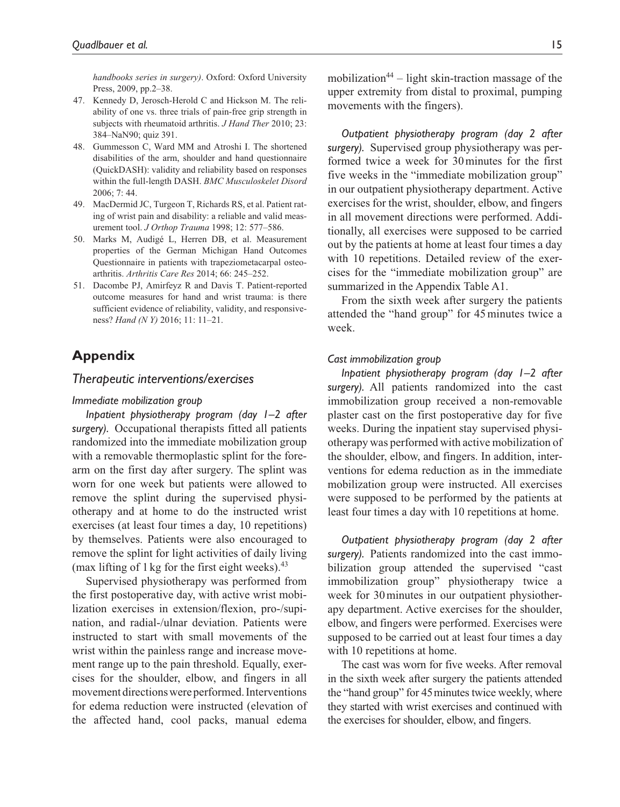*handbooks series in surgery)*. Oxford: Oxford University Press, 2009, pp.2–38.

- 47. Kennedy D, Jerosch-Herold C and Hickson M. The reliability of one vs. three trials of pain-free grip strength in subjects with rheumatoid arthritis. *J Hand Ther* 2010; 23: 384–NaN90; quiz 391.
- 48. Gummesson C, Ward MM and Atroshi I. The shortened disabilities of the arm, shoulder and hand questionnaire (QuickDASH): validity and reliability based on responses within the full-length DASH. *BMC Musculoskelet Disord* 2006; 7: 44.
- 49. MacDermid JC, Turgeon T, Richards RS, et al. Patient rating of wrist pain and disability: a reliable and valid measurement tool. *J Orthop Trauma* 1998; 12: 577–586.
- 50. Marks M, Audigé L, Herren DB, et al. Measurement properties of the German Michigan Hand Outcomes Questionnaire in patients with trapeziometacarpal osteoarthritis. *Arthritis Care Res* 2014; 66: 245–252.
- 51. Dacombe PJ, Amirfeyz R and Davis T. Patient-reported outcome measures for hand and wrist trauma: is there sufficient evidence of reliability, validity, and responsiveness? *Hand (N Y)* 2016; 11: 11–21.

# **Appendix**

## *Therapeutic interventions/exercises*

#### *Immediate mobilization group*

*Inpatient physiotherapy program (day 1–2 after surgery).* Occupational therapists fitted all patients randomized into the immediate mobilization group with a removable thermoplastic splint for the forearm on the first day after surgery. The splint was worn for one week but patients were allowed to remove the splint during the supervised physiotherapy and at home to do the instructed wrist exercises (at least four times a day, 10 repetitions) by themselves. Patients were also encouraged to remove the splint for light activities of daily living (max lifting of 1 kg for the first eight weeks). $43$ 

Supervised physiotherapy was performed from the first postoperative day, with active wrist mobilization exercises in extension/flexion, pro-/supination, and radial-/ulnar deviation. Patients were instructed to start with small movements of the wrist within the painless range and increase movement range up to the pain threshold. Equally, exercises for the shoulder, elbow, and fingers in all movement directions were performed. Interventions for edema reduction were instructed (elevation of the affected hand, cool packs, manual edema mobilization<sup>44</sup> – light skin-traction massage of the upper extremity from distal to proximal, pumping movements with the fingers).

*Outpatient physiotherapy program (day 2 after surgery).* Supervised group physiotherapy was performed twice a week for 30minutes for the first five weeks in the "immediate mobilization group" in our outpatient physiotherapy department. Active exercises for the wrist, shoulder, elbow, and fingers in all movement directions were performed. Additionally, all exercises were supposed to be carried out by the patients at home at least four times a day with 10 repetitions. Detailed review of the exercises for the "immediate mobilization group" are summarized in the Appendix Table A1.

From the sixth week after surgery the patients attended the "hand group" for 45minutes twice a week.

#### *Cast immobilization group*

*Inpatient physiotherapy program (day 1–2 after surgery).* All patients randomized into the cast immobilization group received a non-removable plaster cast on the first postoperative day for five weeks. During the inpatient stay supervised physiotherapy was performed with active mobilization of the shoulder, elbow, and fingers. In addition, interventions for edema reduction as in the immediate mobilization group were instructed. All exercises were supposed to be performed by the patients at least four times a day with 10 repetitions at home.

*Outpatient physiotherapy program (day 2 after surgery).* Patients randomized into the cast immobilization group attended the supervised "cast immobilization group" physiotherapy twice a week for 30minutes in our outpatient physiotherapy department. Active exercises for the shoulder, elbow, and fingers were performed. Exercises were supposed to be carried out at least four times a day with 10 repetitions at home.

The cast was worn for five weeks. After removal in the sixth week after surgery the patients attended the "hand group" for 45 minutes twice weekly, where they started with wrist exercises and continued with the exercises for shoulder, elbow, and fingers.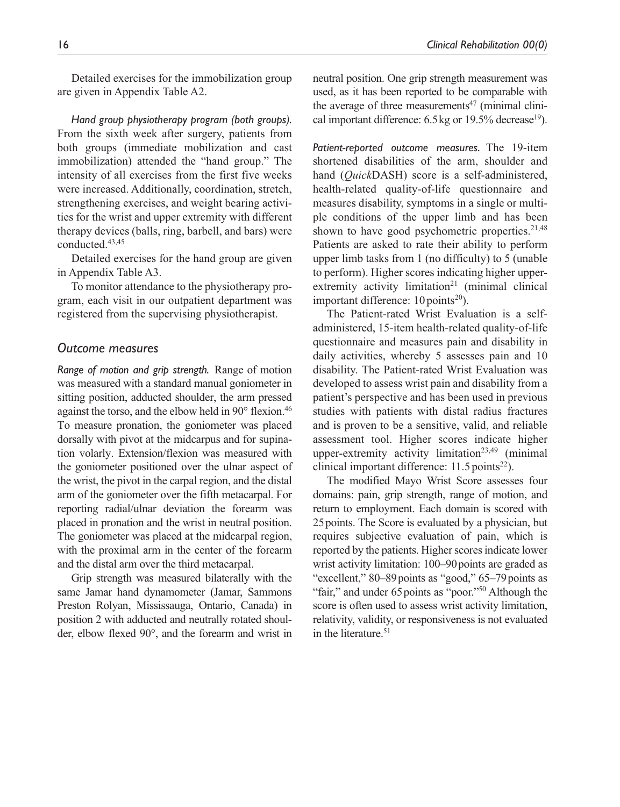Detailed exercises for the immobilization group are given in Appendix Table A2.

*Hand group physiotherapy program (both groups).* From the sixth week after surgery, patients from both groups (immediate mobilization and cast immobilization) attended the "hand group." The intensity of all exercises from the first five weeks were increased. Additionally, coordination, stretch, strengthening exercises, and weight bearing activities for the wrist and upper extremity with different therapy devices (balls, ring, barbell, and bars) were conducted.43,45

Detailed exercises for the hand group are given in Appendix Table A3.

To monitor attendance to the physiotherapy program, each visit in our outpatient department was registered from the supervising physiotherapist.

## *Outcome measures*

*Range of motion and grip strength.* Range of motion was measured with a standard manual goniometer in sitting position, adducted shoulder, the arm pressed against the torso, and the elbow held in  $90^\circ$  flexion.<sup>46</sup> To measure pronation, the goniometer was placed dorsally with pivot at the midcarpus and for supination volarly. Extension/flexion was measured with the goniometer positioned over the ulnar aspect of the wrist, the pivot in the carpal region, and the distal arm of the goniometer over the fifth metacarpal. For reporting radial/ulnar deviation the forearm was placed in pronation and the wrist in neutral position. The goniometer was placed at the midcarpal region, with the proximal arm in the center of the forearm and the distal arm over the third metacarpal.

Grip strength was measured bilaterally with the same Jamar hand dynamometer (Jamar, Sammons Preston Rolyan, Mississauga, Ontario, Canada) in position 2 with adducted and neutrally rotated shoulder, elbow flexed 90°, and the forearm and wrist in neutral position. One grip strength measurement was used, as it has been reported to be comparable with the average of three measurements<sup>47</sup> (minimal clinical important difference:  $6.5 \text{ kg}$  or  $19.5\%$  decrease<sup>19</sup>).

*Patient-reported outcome measures.* The 19-item shortened disabilities of the arm, shoulder and hand (*Quick*DASH) score is a self-administered, health-related quality-of-life questionnaire and measures disability, symptoms in a single or multiple conditions of the upper limb and has been shown to have good psychometric properties. $21,48$ Patients are asked to rate their ability to perform upper limb tasks from 1 (no difficulty) to 5 (unable to perform). Higher scores indicating higher upperextremity activity limitation<sup>21</sup> (minimal clinical important difference:  $10 \text{ points}^{20}$ ).

The Patient-rated Wrist Evaluation is a selfadministered, 15-item health-related quality-of-life questionnaire and measures pain and disability in daily activities, whereby 5 assesses pain and 10 disability. The Patient-rated Wrist Evaluation was developed to assess wrist pain and disability from a patient's perspective and has been used in previous studies with patients with distal radius fractures and is proven to be a sensitive, valid, and reliable assessment tool. Higher scores indicate higher upper-extremity activity limitation<sup>23,49</sup> (minimal clinical important difference:  $11.5$  points<sup>22</sup>).

The modified Mayo Wrist Score assesses four domains: pain, grip strength, range of motion, and return to employment. Each domain is scored with 25points. The Score is evaluated by a physician, but requires subjective evaluation of pain, which is reported by the patients. Higher scores indicate lower wrist activity limitation: 100–90 points are graded as "excellent," 80–89 points as "good," 65–79 points as "fair," and under 65 points as "poor."<sup>50</sup> Although the score is often used to assess wrist activity limitation, relativity, validity, or responsiveness is not evaluated in the literature.<sup>51</sup>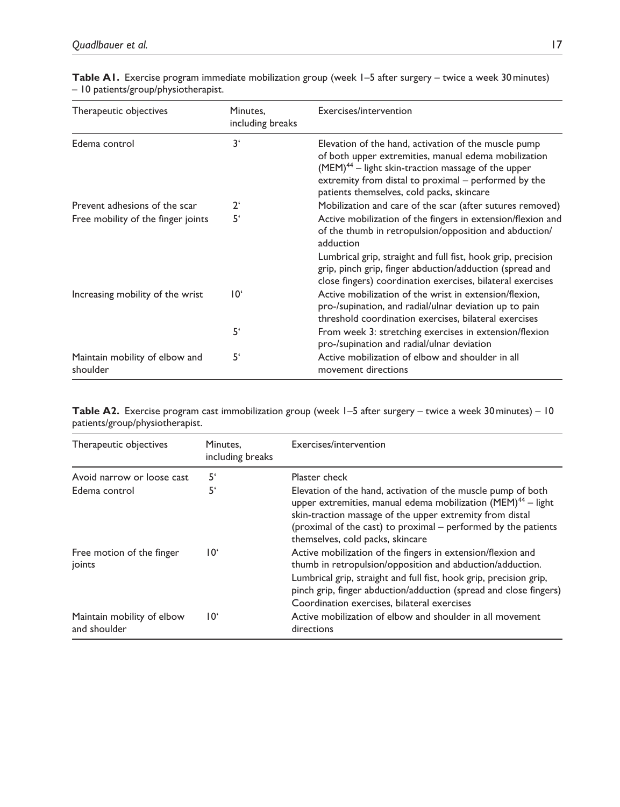| Therapeutic objectives                     | Minutes,<br>including breaks | Exercises/intervention                                                                                                                                                                                                                                                       |
|--------------------------------------------|------------------------------|------------------------------------------------------------------------------------------------------------------------------------------------------------------------------------------------------------------------------------------------------------------------------|
| Edema control                              | 3 <sup>1</sup>               | Elevation of the hand, activation of the muscle pump<br>of both upper extremities, manual edema mobilization<br>$(MEM)^{44}$ – light skin-traction massage of the upper<br>extremity from distal to proximal – performed by the<br>patients themselves, cold packs, skincare |
| Prevent adhesions of the scar              | $2^{\epsilon}$               | Mobilization and care of the scar (after sutures removed)                                                                                                                                                                                                                    |
| Free mobility of the finger joints         | 5'                           | Active mobilization of the fingers in extension/flexion and<br>of the thumb in retropulsion/opposition and abduction/<br>adduction<br>Lumbrical grip, straight and full fist, hook grip, precision                                                                           |
|                                            |                              | grip, pinch grip, finger abduction/adduction (spread and<br>close fingers) coordination exercises, bilateral exercises                                                                                                                                                       |
| Increasing mobility of the wrist           | 10 <sup>6</sup>              | Active mobilization of the wrist in extension/flexion.<br>pro-/supination, and radial/ulnar deviation up to pain<br>threshold coordination exercises, bilateral exercises                                                                                                    |
|                                            | 5'                           | From week 3: stretching exercises in extension/flexion<br>pro-/supination and radial/ulnar deviation                                                                                                                                                                         |
| Maintain mobility of elbow and<br>shoulder | 5'                           | Active mobilization of elbow and shoulder in all<br>movement directions                                                                                                                                                                                                      |

**Table A1.** Exercise program immediate mobilization group (week 1–5 after surgery – twice a week 30minutes) – 10 patients/group/physiotherapist.

**Table A2.** Exercise program cast immobilization group (week 1–5 after surgery – twice a week 30 minutes) – 10 patients/group/physiotherapist.

| Therapeutic objectives                     | Minutes,<br>including breaks | Exercises/intervention                                                                                                                                                                                                                                                                                     |
|--------------------------------------------|------------------------------|------------------------------------------------------------------------------------------------------------------------------------------------------------------------------------------------------------------------------------------------------------------------------------------------------------|
| Avoid narrow or loose cast                 | 5'                           | Plaster check                                                                                                                                                                                                                                                                                              |
| Edema control                              | 5'                           | Elevation of the hand, activation of the muscle pump of both<br>upper extremities, manual edema mobilization (MEM) <sup>44</sup> - light<br>skin-traction massage of the upper extremity from distal<br>(proximal of the cast) to proximal – performed by the patients<br>themselves, cold packs, skincare |
| Free motion of the finger<br>joints        | ۱0'                          | Active mobilization of the fingers in extension/flexion and<br>thumb in retropulsion/opposition and abduction/adduction.                                                                                                                                                                                   |
|                                            |                              | Lumbrical grip, straight and full fist, hook grip, precision grip,<br>pinch grip, finger abduction/adduction (spread and close fingers)<br>Coordination exercises, bilateral exercises                                                                                                                     |
| Maintain mobility of elbow<br>and shoulder | 10°                          | Active mobilization of elbow and shoulder in all movement<br>directions                                                                                                                                                                                                                                    |